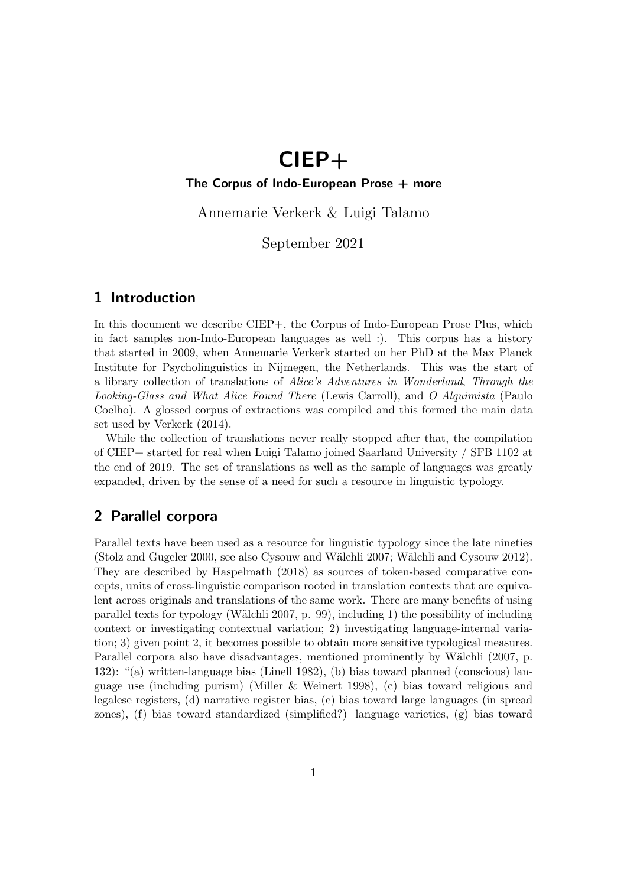# CIEP+

#### The Corpus of Indo-European Prose  $+$  more

Annemarie Verkerk & Luigi Talamo

September 2021

### 1 Introduction

In this document we describe CIEP+, the Corpus of Indo-European Prose Plus, which in fact samples non-Indo-European languages as well :). This corpus has a history that started in 2009, when Annemarie Verkerk started on her PhD at the Max Planck Institute for Psycholinguistics in Nijmegen, the Netherlands. This was the start of a library collection of translations of Alice's Adventures in Wonderland, Through the Looking-Glass and What Alice Found There (Lewis Carroll), and O Alquimista (Paulo Coelho). A glossed corpus of extractions was compiled and this formed the main data set used by Verkerk (2014).

While the collection of translations never really stopped after that, the compilation of CIEP+ started for real when Luigi Talamo joined Saarland University / SFB 1102 at the end of 2019. The set of translations as well as the sample of languages was greatly expanded, driven by the sense of a need for such a resource in linguistic typology.

### 2 Parallel corpora

Parallel texts have been used as a resource for linguistic typology since the late nineties (Stolz and Gugeler 2000, see also Cysouw and Wälchli 2007; Wälchli and Cysouw 2012). They are described by Haspelmath (2018) as sources of token-based comparative concepts, units of cross-linguistic comparison rooted in translation contexts that are equivalent across originals and translations of the same work. There are many benefits of using parallel texts for typology (Wälchli 2007, p. 99), including 1) the possibility of including context or investigating contextual variation; 2) investigating language-internal variation; 3) given point 2, it becomes possible to obtain more sensitive typological measures. Parallel corpora also have disadvantages, mentioned prominently by Wälchli (2007, p. 132): "(a) written-language bias (Linell 1982), (b) bias toward planned (conscious) language use (including purism) (Miller & Weinert 1998), (c) bias toward religious and legalese registers, (d) narrative register bias, (e) bias toward large languages (in spread zones), (f) bias toward standardized (simplified?) language varieties, (g) bias toward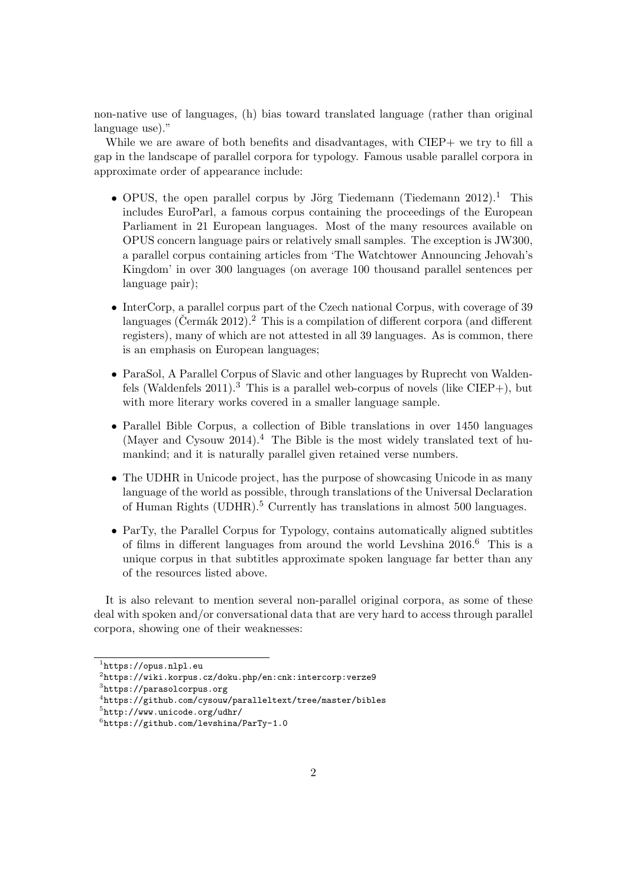non-native use of languages, (h) bias toward translated language (rather than original language use)."

While we are aware of both benefits and disadvantages, with CIEP+ we try to fill a gap in the landscape of parallel corpora for typology. Famous usable parallel corpora in approximate order of appearance include:

- OPUS, the open parallel corpus by Jörg Tiedemann (Tiedemann  $2012$ ).<sup>1</sup> This includes EuroParl, a famous corpus containing the proceedings of the European Parliament in 21 European languages. Most of the many resources available on OPUS concern language pairs or relatively small samples. The exception is JW300, a parallel corpus containing articles from 'The Watchtower Announcing Jehovah's Kingdom' in over 300 languages (on average 100 thousand parallel sentences per language pair);
- InterCorp, a parallel corpus part of the Czech national Corpus, with coverage of 39 languages (Čermák 2012).  $^2$  This is a compilation of different corpora (and different registers), many of which are not attested in all 39 languages. As is common, there is an emphasis on European languages;
- ParaSol, A Parallel Corpus of Slavic and other languages by Ruprecht von Waldenfels (Waldenfels  $2011$ ).<sup>3</sup> This is a parallel web-corpus of novels (like CIEP+), but with more literary works covered in a smaller language sample.
- Parallel Bible Corpus, a collection of Bible translations in over 1450 languages (Mayer and Cysouw 2014).<sup>4</sup> The Bible is the most widely translated text of humankind; and it is naturally parallel given retained verse numbers.
- The UDHR in Unicode project, has the purpose of showcasing Unicode in as many language of the world as possible, through translations of the Universal Declaration of Human Rights (UDHR).<sup>5</sup> Currently has translations in almost 500 languages.
- ParTy, the Parallel Corpus for Typology, contains automatically aligned subtitles of films in different languages from around the world Levshina 2016.<sup>6</sup> This is a unique corpus in that subtitles approximate spoken language far better than any of the resources listed above.

It is also relevant to mention several non-parallel original corpora, as some of these deal with spoken and/or conversational data that are very hard to access through parallel corpora, showing one of their weaknesses:

<sup>1</sup> https://opus.nlpl.eu

 $^{2}$ https://wiki.korpus.cz/doku.php/en:cnk:intercorp:verze9

 ${}^{3}$ https://parasolcorpus.org

 $^4$ https://github.com/cysouw/paralleltext/tree/master/bibles

<sup>5</sup> http://www.unicode.org/udhr/

 $^6$ https://github.com/levshina/ParTy-1.0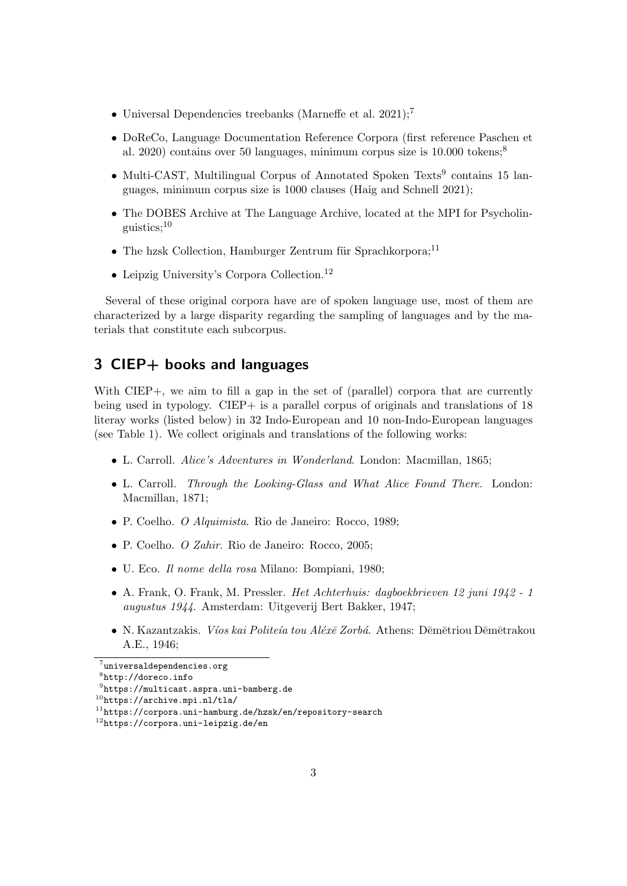- Universal Dependencies treebanks (Marneffe et al. 2021);<sup>7</sup>
- DoReCo, Language Documentation Reference Corpora (first reference Paschen et al. 2020) contains over 50 languages, minimum corpus size is  $10.000$  tokens;<sup>8</sup>
- Multi-CAST, Multilingual Corpus of Annotated Spoken Texts<sup>9</sup> contains 15 languages, minimum corpus size is 1000 clauses (Haig and Schnell 2021);
- The DOBES Archive at The Language Archive, located at the MPI for Psycholinguistics;<sup>10</sup>
- The hzsk Collection, Hamburger Zentrum für Sprachkorpora;<sup>11</sup>
- Leipzig University's Corpora Collection.<sup>12</sup>

Several of these original corpora have are of spoken language use, most of them are characterized by a large disparity regarding the sampling of languages and by the materials that constitute each subcorpus.

## 3 CIEP+ books and languages

With CIEP+, we aim to fill a gap in the set of (parallel) corpora that are currently being used in typology. CIEP+ is a parallel corpus of originals and translations of 18 literay works (listed below) in 32 Indo-European and 10 non-Indo-European languages (see Table 1). We collect originals and translations of the following works:

- L. Carroll. Alice's Adventures in Wonderland. London: Macmillan, 1865;
- L. Carroll. Through the Looking-Glass and What Alice Found There. London: Macmillan, 1871;
- P. Coelho. O Alquimista. Rio de Janeiro: Rocco, 1989;
- P. Coelho. O Zahir. Rio de Janeiro: Rocco, 2005;
- U. Eco. Il nome della rosa Milano: Bompiani, 1980;
- A. Frank, O. Frank, M. Pressler. Het Achterhuis: dagboekbrieven 12 juni 1942 1 augustus 1944. Amsterdam: Uitgeverij Bert Bakker, 1947;
- N. Kazantzakis. *Víos kai Politeía tou Aléxē Zorbá*. Athens: Dēmētriou Dēmētrakou A.E., 1946;

 $^7$ universaldependencies.org

<sup>8</sup> http://doreco.info

 $^{9}$ https://multicast.aspra.uni-bamberg.de

<sup>10</sup>https://archive.mpi.nl/tla/

<sup>11</sup>https://corpora.uni-hamburg.de/hzsk/en/repository-search

<sup>12</sup>https://corpora.uni-leipzig.de/en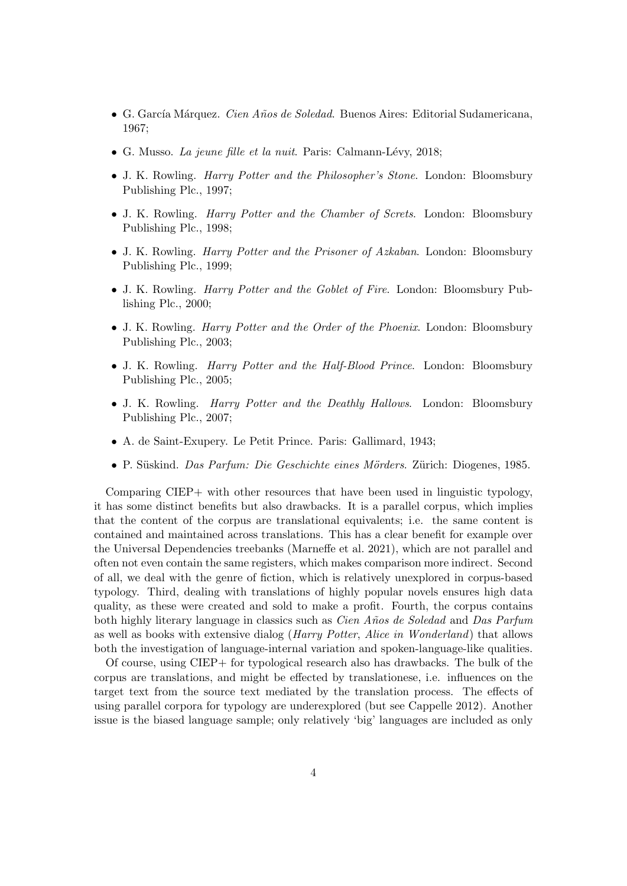- G. García Márquez. *Cien Años de Soledad*. Buenos Aires: Editorial Sudamericana, 1967;
- G. Musso. La jeune fille et la nuit. Paris: Calmann-Lévy, 2018;
- J. K. Rowling. *Harry Potter and the Philosopher's Stone*. London: Bloomsbury Publishing Plc., 1997;
- J. K. Rowling. *Harry Potter and the Chamber of Screts*. London: Bloomsbury Publishing Plc., 1998;
- J. K. Rowling. *Harry Potter and the Prisoner of Azkaban*. London: Bloomsbury Publishing Plc., 1999;
- J. K. Rowling. Harry Potter and the Goblet of Fire. London: Bloomsbury Publishing Plc., 2000;
- J. K. Rowling. Harry Potter and the Order of the Phoenix. London: Bloomsbury Publishing Plc., 2003;
- J. K. Rowling. *Harry Potter and the Half-Blood Prince*. London: Bloomsbury Publishing Plc., 2005;
- J. K. Rowling. Harry Potter and the Deathly Hallows. London: Bloomsbury Publishing Plc., 2007;
- A. de Saint-Exupery. Le Petit Prince. Paris: Gallimard, 1943;
- P. Süskind. Das Parfum: Die Geschichte eines Mörders. Zürich: Diogenes, 1985.

Comparing CIEP+ with other resources that have been used in linguistic typology, it has some distinct benefits but also drawbacks. It is a parallel corpus, which implies that the content of the corpus are translational equivalents; i.e. the same content is contained and maintained across translations. This has a clear benefit for example over the Universal Dependencies treebanks (Marneffe et al. 2021), which are not parallel and often not even contain the same registers, which makes comparison more indirect. Second of all, we deal with the genre of fiction, which is relatively unexplored in corpus-based typology. Third, dealing with translations of highly popular novels ensures high data quality, as these were created and sold to make a profit. Fourth, the corpus contains both highly literary language in classics such as *Cien Años de Soledad* and Das Parfum as well as books with extensive dialog (Harry Potter, Alice in Wonderland) that allows both the investigation of language-internal variation and spoken-language-like qualities.

Of course, using CIEP+ for typological research also has drawbacks. The bulk of the corpus are translations, and might be effected by translationese, i.e. influences on the target text from the source text mediated by the translation process. The effects of using parallel corpora for typology are underexplored (but see Cappelle 2012). Another issue is the biased language sample; only relatively 'big' languages are included as only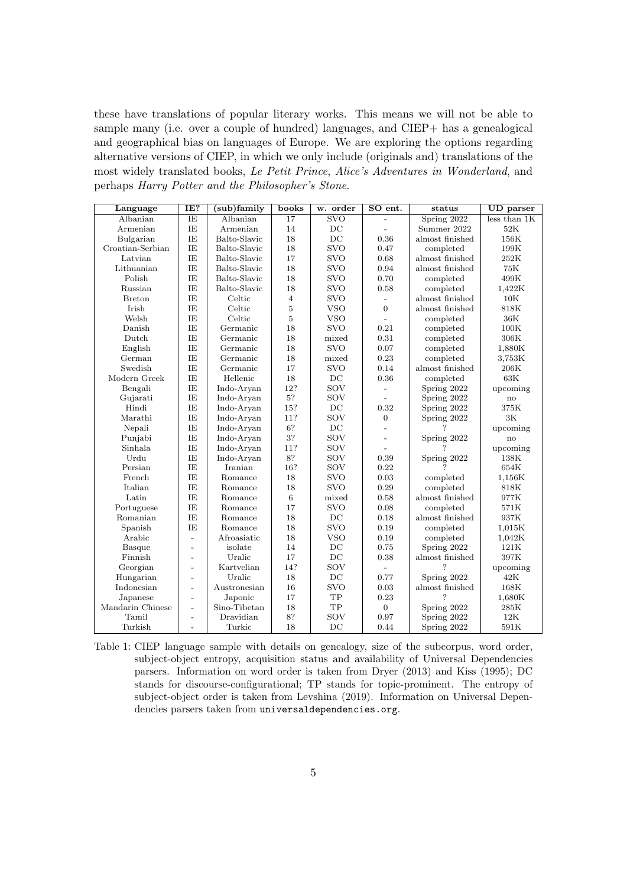these have translations of popular literary works. This means we will not be able to sample many (i.e. over a couple of hundred) languages, and CIEP+ has a genealogical and geographical bias on languages of Europe. We are exploring the options regarding alternative versions of CIEP, in which we only include (originals and) translations of the most widely translated books, Le Petit Prince, Alice's Adventures in Wonderland, and perhaps Harry Potter and the Philosopher's Stone.

| Language         | IE?                      | (sub)family  | books           | w. order                | SO ent.                  | status          | <b>UD</b> parser |
|------------------|--------------------------|--------------|-----------------|-------------------------|--------------------------|-----------------|------------------|
| Albanian         | IE                       | Albanian     | $\overline{17}$ | $\overline{\text{SVO}}$ |                          | Spring 2022     | less than 1K     |
| Armenian         | IE                       | Armenian     | 14              | DC                      | $\overline{a}$           | Summer 2022     | 52K              |
| Bulgarian        | IE                       | Balto-Slavic | 18              | DC                      | 0.36                     | almost finished | 156K             |
| Croatian-Serbian | IE                       | Balto-Slavic | 18              | <b>SVO</b>              | 0.47                     | completed       | 199K             |
| Latvian          | IE                       | Balto-Slavic | 17              | <b>SVO</b>              | 0.68                     | almost finished | $252\mathrm{K}$  |
| Lithuanian       | IE                       | Balto-Slavic | 18              | <b>SVO</b>              | 0.94                     | almost finished | 75K              |
| Polish           | IE                       | Balto-Slavic | 18              | <b>SVO</b>              | 0.70                     | completed       | 499K             |
| Russian          | IE                       | Balto-Slavic | 18              | <b>SVO</b>              | 0.58                     | completed       | 1,422K           |
| <b>Breton</b>    | IE                       | Celtic       | $\overline{4}$  | <b>SVO</b>              | $\overline{a}$           | almost finished | 10K              |
| Irish            | IE                       | Celtic       | 5               | <b>VSO</b>              | $\overline{0}$           | almost finished | 818K             |
| Welsh            | IE                       | Celtic       | 5               | <b>VSO</b>              | $\overline{a}$           | completed       | 36K              |
| Danish           | IE                       | Germanic     | 18              | <b>SVO</b>              | 0.21                     | completed       | 100K             |
| Dutch            | IE                       | Germanic     | 18              | mixed                   | 0.31                     | completed       | $306\mathrm{K}$  |
| English          | IE                       | Germanic     | 18              | <b>SVO</b>              | 0.07                     | completed       | 1,880K           |
| German           | IE                       | Germanic     | 18              | mixed                   | 0.23                     | completed       | 3.753K           |
| Swedish          | IE                       | Germanic     | 17              | <b>SVO</b>              | 0.14                     | almost finished | 206K             |
| Modern Greek     | IE                       | Hellenic     | 18              | DC                      | 0.36                     | completed       | 63K              |
| Bengali          | IE                       | Indo-Aryan   | 12?             | SOV                     | $\overline{a}$           | Spring 2022     | upcoming         |
| Gujarati         | IE                       | Indo-Aryan   | 5?              | SOV                     | $\overline{a}$           | Spring 2022     | $\rm{no}$        |
| Hindi            | IE                       | Indo-Arvan   | 15?             | DC                      | 0.32                     | Spring 2022     | 375K             |
| Marathi          | IE                       | Indo-Aryan   | 11?             | SOV                     | $\overline{0}$           | Spring 2022     | 3K               |
| Nepali           | IE                       | Indo-Aryan   | 6?              | $DC$                    | $\overline{a}$           |                 | upcoming         |
| Punjabi          | IE                       | Indo-Aryan   | 3?              | SOV                     | $\overline{a}$           | Spring 2022     | no               |
| Sinhala          | IE                       | Indo-Aryan   | 11?             | SOV                     |                          |                 | upcoming         |
| Urdu             | IE                       | Indo-Aryan   | 8?              | SOV                     | 0.39                     | Spring 2022     | 138K             |
| Persian          | IE                       | Iranian      | 16?             | SOV                     | 0.22                     |                 | 654K             |
| French           | IE                       | Romance      | 18              | <b>SVO</b>              | 0.03                     | completed       | 1,156K           |
| Italian          | IE                       | Romance      | 18              | <b>SVO</b>              | 0.29                     | completed       | 818K             |
| Latin            | ΙE                       | Romance      | $\,6$           | mixed                   | 0.58                     | almost finished | 977K             |
| Portuguese       | IE                       | Romance      | 17              | <b>SVO</b>              | 0.08                     | completed       | 571K             |
| Romanian         | IE                       | Romance      | 18              | DC                      | 0.18                     | almost finished | 937K             |
| Spanish          | IE                       | Romance      | 18              | <b>SVO</b>              | 0.19                     | completed       | 1,015K           |
| Arabic           | $\overline{\phantom{a}}$ | Afroasiatic  | 18              | <b>VSO</b>              | 0.19                     | completed       | 1,042K           |
| Basque           | $\overline{\phantom{a}}$ | isolate      | 14              | $DC$                    | 0.75                     | Spring 2022     | 121K             |
| Finnish          | $\overline{a}$           | Uralic       | 17              | DC                      | 0.38                     | almost finished | 397K             |
| Georgian         | $\overline{\phantom{a}}$ | Kartvelian   | 14?             | SOV                     | $\overline{\phantom{0}}$ | ?               | upcoming         |
| Hungarian        | $\overline{\phantom{a}}$ | Uralic       | 18              | $DC$                    | 0.77                     | Spring 2022     | $42\mathrm{K}$   |
| Indonesian       | $\overline{a}$           | Austronesian | 16              | <b>SVO</b>              | 0.03                     | almost finished | 168K             |
| Japanese         | $\blacksquare$           | Japonic      | 17              | TP                      | 0.23                     | ?               | 1,680K           |
| Mandarin Chinese | $\overline{\phantom{a}}$ | Sino-Tibetan | 18              | $_{\rm TP}$             | $\overline{0}$           | Spring 2022     | $285\mathrm{K}$  |
| Tamil            | $\overline{\phantom{0}}$ | Dravidian    | 8?              | SOV                     | 0.97                     | Spring 2022     | $12\mathrm{K}$   |
| Turkish          | $\overline{\phantom{a}}$ | Turkic       | 18              | DC                      | 0.44                     | Spring 2022     | 591K             |

Table 1: CIEP language sample with details on genealogy, size of the subcorpus, word order, subject-object entropy, acquisition status and availability of Universal Dependencies parsers. Information on word order is taken from Dryer (2013) and Kiss (1995); DC stands for discourse-configurational; TP stands for topic-prominent. The entropy of subject-object order is taken from Levshina (2019). Information on Universal Dependencies parsers taken from universaldependencies.org.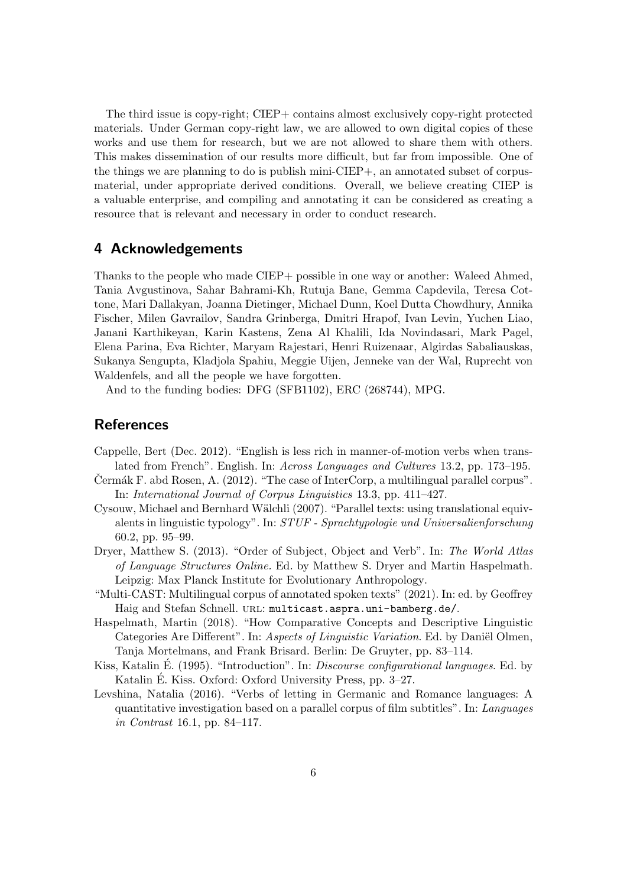The third issue is copy-right; CIEP+ contains almost exclusively copy-right protected materials. Under German copy-right law, we are allowed to own digital copies of these works and use them for research, but we are not allowed to share them with others. This makes dissemination of our results more difficult, but far from impossible. One of the things we are planning to do is publish mini-CIEP+, an annotated subset of corpusmaterial, under appropriate derived conditions. Overall, we believe creating CIEP is a valuable enterprise, and compiling and annotating it can be considered as creating a resource that is relevant and necessary in order to conduct research.

## 4 Acknowledgements

Thanks to the people who made CIEP+ possible in one way or another: Waleed Ahmed, Tania Avgustinova, Sahar Bahrami-Kh, Rutuja Bane, Gemma Capdevila, Teresa Cottone, Mari Dallakyan, Joanna Dietinger, Michael Dunn, Koel Dutta Chowdhury, Annika Fischer, Milen Gavrailov, Sandra Grinberga, Dmitri Hrapof, Ivan Levin, Yuchen Liao, Janani Karthikeyan, Karin Kastens, Zena Al Khalili, Ida Novindasari, Mark Pagel, Elena Parina, Eva Richter, Maryam Rajestari, Henri Ruizenaar, Algirdas Sabaliauskas, Sukanya Sengupta, Kladjola Spahiu, Meggie Uijen, Jenneke van der Wal, Ruprecht von Waldenfels, and all the people we have forgotten.

And to the funding bodies: DFG (SFB1102), ERC (268744), MPG.

#### References

- Cappelle, Bert (Dec. 2012). "English is less rich in manner-of-motion verbs when translated from French". English. In: Across Languages and Cultures 13.2, pp. 173–195.
- Cermák F. abd Rosen, A.  $(2012)$ . "The case of InterCorp, a multilingual parallel corpus". In: International Journal of Corpus Linguistics 13.3, pp. 411–427.
- Cysouw, Michael and Bernhard Wälchli (2007). "Parallel texts: using translational equivalents in linguistic typology". In: STUF - Sprachtypologie und Universalienforschung 60.2, pp. 95–99.
- Dryer, Matthew S. (2013). "Order of Subject, Object and Verb". In: The World Atlas of Language Structures Online. Ed. by Matthew S. Dryer and Martin Haspelmath. Leipzig: Max Planck Institute for Evolutionary Anthropology.
- "Multi-CAST: Multilingual corpus of annotated spoken texts" (2021). In: ed. by Geoffrey Haig and Stefan Schnell. URL: multicast.aspra.uni-bamberg.de/.
- Haspelmath, Martin (2018). "How Comparative Concepts and Descriptive Linguistic Categories Are Different". In: Aspects of Linguistic Variation. Ed. by Daniël Olmen, Tanja Mortelmans, and Frank Brisard. Berlin: De Gruyter, pp. 83–114.
- Kiss, Katalin É. (1995). "Introduction". In: *Discourse configurational languages*. Ed. by Katalin E. Kiss. Oxford: Oxford University Press, pp. 3–27.
- Levshina, Natalia (2016). "Verbs of letting in Germanic and Romance languages: A quantitative investigation based on a parallel corpus of film subtitles". In: Languages in Contrast 16.1, pp. 84–117.